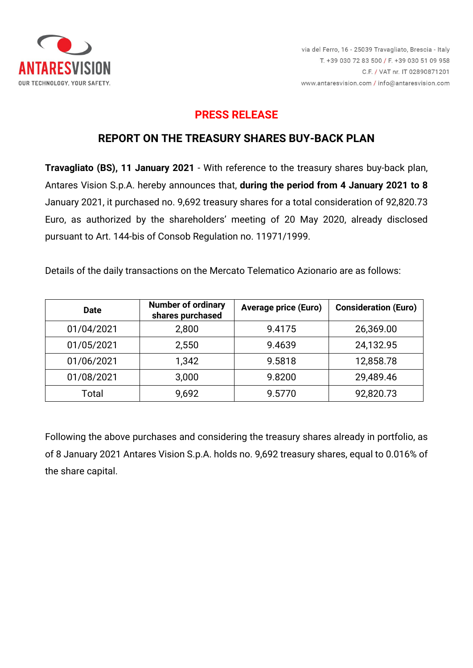

# **PRESS RELEASE**

## **REPORT ON THE TREASURY SHARES BUY-BACK PLAN**

**Travagliato (BS), 11 January 2021** - With reference to the treasury shares buy-back plan, Antares Vision S.p.A. hereby announces that, **during the period from 4 January 2021 to 8**  January 2021, it purchased no. 9,692 treasury shares for a total consideration of 92,820.73 Euro, as authorized by the shareholders' meeting of 20 May 2020, already disclosed pursuant to Art. 144-bis of Consob Regulation no. 11971/1999.

Details of the daily transactions on the Mercato Telematico Azionario are as follows:

| <b>Date</b> | <b>Number of ordinary</b><br>shares purchased | <b>Average price (Euro)</b> | <b>Consideration (Euro)</b> |
|-------------|-----------------------------------------------|-----------------------------|-----------------------------|
| 01/04/2021  | 2,800                                         | 9.4175                      | 26,369.00                   |
| 01/05/2021  | 2,550                                         | 9.4639                      | 24,132.95                   |
| 01/06/2021  | 1,342                                         | 9.5818                      | 12,858.78                   |
| 01/08/2021  | 3,000                                         | 9.8200                      | 29,489.46                   |
| Total       | 9,692                                         | 9.5770                      | 92,820.73                   |

Following the above purchases and considering the treasury shares already in portfolio, as of 8 January 2021 Antares Vision S.p.A. holds no. 9,692 treasury shares, equal to 0.016% of the share capital.